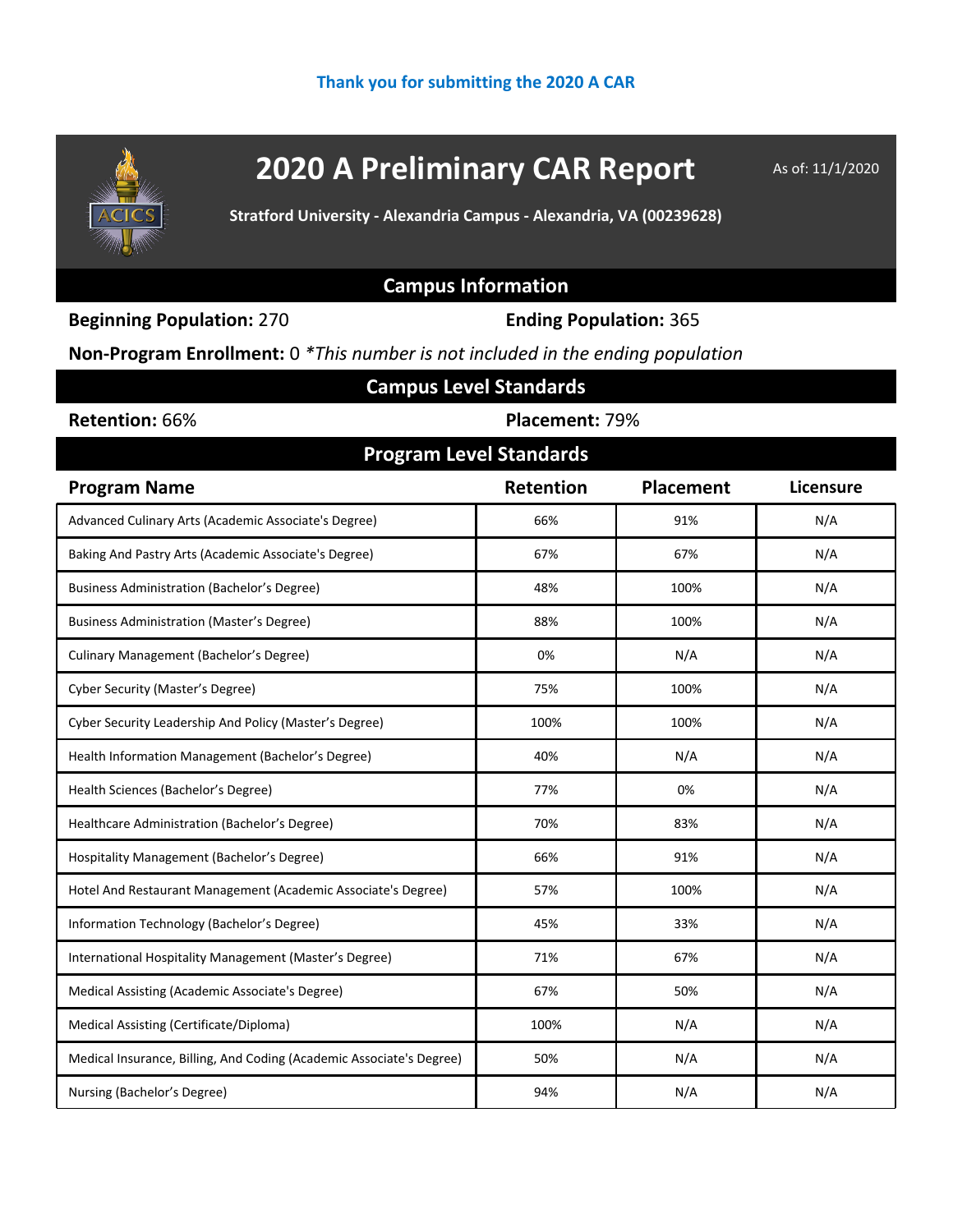

# **2020 A Preliminary CAR Report** As of: 11/1/2020

**Stratford University - Alexandria Campus - Alexandria, VA (00239628)**

### **Campus Information**

**Beginning Population:** 270 **Ending Population:** 365

**Non-Program Enrollment:** 0 *\*This number is not included in the ending population*

| <b>Campus Level Standards</b>                                        |                |                  |           |  |  |  |  |  |
|----------------------------------------------------------------------|----------------|------------------|-----------|--|--|--|--|--|
| Retention: 66%                                                       | Placement: 79% |                  |           |  |  |  |  |  |
| <b>Program Level Standards</b>                                       |                |                  |           |  |  |  |  |  |
| <b>Program Name</b>                                                  | Retention      | <b>Placement</b> | Licensure |  |  |  |  |  |
| Advanced Culinary Arts (Academic Associate's Degree)                 | 66%            | 91%              | N/A       |  |  |  |  |  |
| Baking And Pastry Arts (Academic Associate's Degree)                 | 67%            | 67%              | N/A       |  |  |  |  |  |
| <b>Business Administration (Bachelor's Degree)</b>                   | 48%            | 100%             | N/A       |  |  |  |  |  |
| <b>Business Administration (Master's Degree)</b>                     | 88%            | 100%             | N/A       |  |  |  |  |  |
| Culinary Management (Bachelor's Degree)                              | 0%             | N/A              | N/A       |  |  |  |  |  |
| <b>Cyber Security (Master's Degree)</b>                              | 75%            | 100%             | N/A       |  |  |  |  |  |
| Cyber Security Leadership And Policy (Master's Degree)               | 100%           | 100%             | N/A       |  |  |  |  |  |
| Health Information Management (Bachelor's Degree)                    | 40%            | N/A              | N/A       |  |  |  |  |  |
| Health Sciences (Bachelor's Degree)                                  | 77%            | 0%               | N/A       |  |  |  |  |  |
| Healthcare Administration (Bachelor's Degree)                        | 70%            | 83%              | N/A       |  |  |  |  |  |
| Hospitality Management (Bachelor's Degree)                           | 66%            | 91%              | N/A       |  |  |  |  |  |
| Hotel And Restaurant Management (Academic Associate's Degree)        | 57%            | 100%             | N/A       |  |  |  |  |  |
| Information Technology (Bachelor's Degree)                           | 45%            | 33%              | N/A       |  |  |  |  |  |
| International Hospitality Management (Master's Degree)               | 71%            | 67%              | N/A       |  |  |  |  |  |
| Medical Assisting (Academic Associate's Degree)                      | 67%            | 50%              | N/A       |  |  |  |  |  |
| Medical Assisting (Certificate/Diploma)                              | 100%           | N/A              | N/A       |  |  |  |  |  |
| Medical Insurance, Billing, And Coding (Academic Associate's Degree) | 50%            | N/A              | N/A       |  |  |  |  |  |
| Nursing (Bachelor's Degree)                                          | 94%            | N/A              | N/A       |  |  |  |  |  |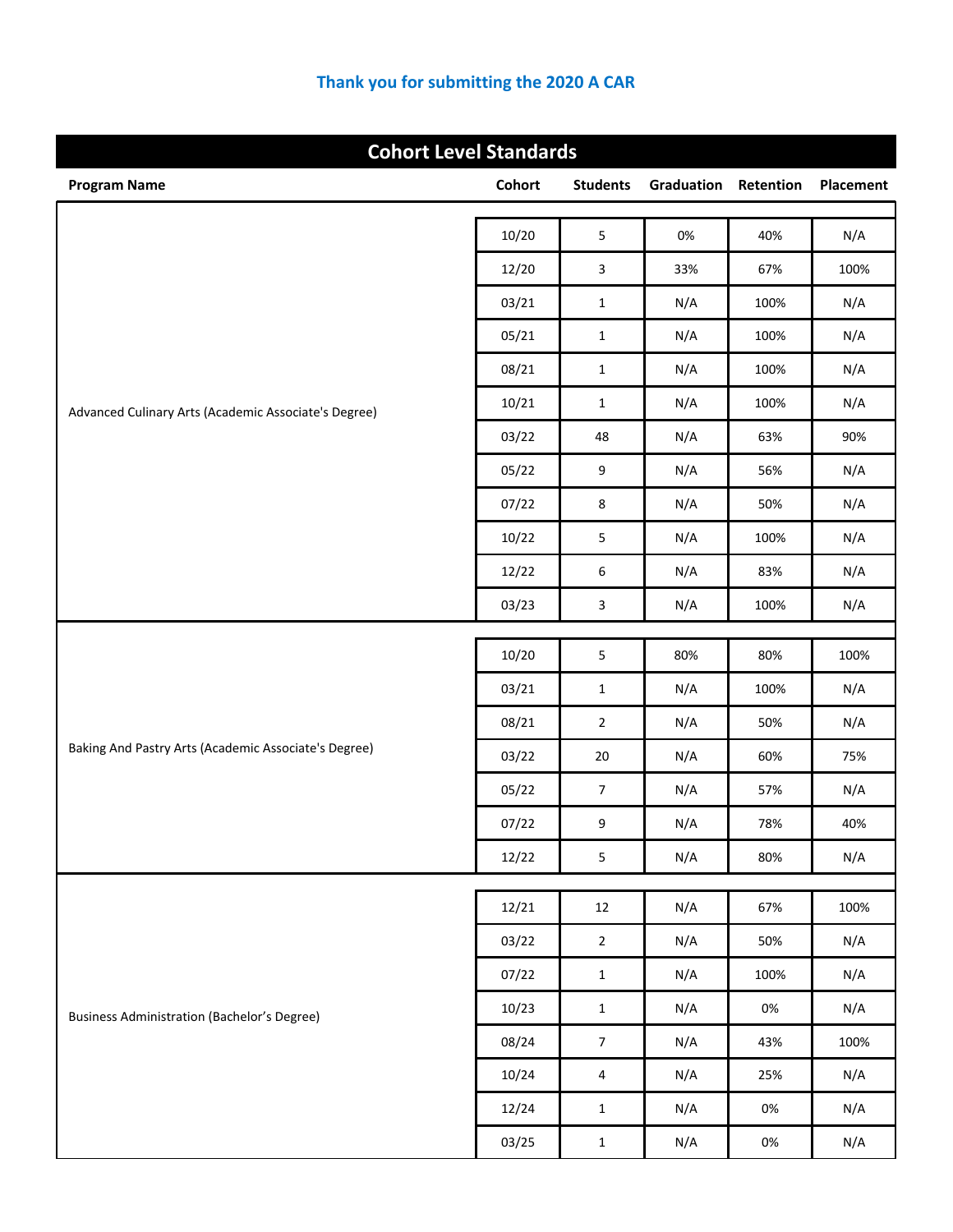| <b>Cohort Level Standards</b>                        |               |                  |                             |       |           |
|------------------------------------------------------|---------------|------------------|-----------------------------|-------|-----------|
| <b>Program Name</b>                                  | <b>Cohort</b> | <b>Students</b>  | <b>Graduation Retention</b> |       | Placement |
|                                                      | 10/20         | $\mathsf S$      | 0%                          | 40%   | N/A       |
|                                                      | 12/20         | 3                | 33%                         | 67%   | 100%      |
|                                                      | 03/21         | $\mathbf{1}$     | N/A                         | 100%  | N/A       |
|                                                      | 05/21         | $\mathbf{1}$     | N/A                         | 100%  | N/A       |
|                                                      | 08/21         | $\mathbf{1}$     | N/A                         | 100%  | N/A       |
|                                                      | 10/21         | $\mathbf{1}$     | N/A                         | 100%  | N/A       |
| Advanced Culinary Arts (Academic Associate's Degree) | 03/22         | 48               | N/A                         | 63%   | 90%       |
|                                                      | 05/22         | 9                | N/A                         | 56%   | N/A       |
|                                                      | 07/22         | 8                | N/A                         | 50%   | N/A       |
|                                                      | 10/22         | 5                | N/A                         | 100%  | N/A       |
|                                                      | 12/22         | 6                | N/A                         | 83%   | N/A       |
|                                                      | 03/23         | 3                | N/A                         | 100%  | N/A       |
|                                                      |               |                  |                             |       |           |
|                                                      | 10/20         | 5                | 80%                         | 80%   | 100%      |
|                                                      | 03/21         | $\mathbf{1}$     | N/A                         | 100%  | N/A       |
| Baking And Pastry Arts (Academic Associate's Degree) | 08/21         | $\overline{2}$   | N/A                         | 50%   | N/A       |
|                                                      | 03/22         | 20               | N/A                         | 60%   | 75%       |
|                                                      | 05/22         | 7                | N/A                         | 57%   | N/A       |
|                                                      | 07/22         | 9                | N/A                         | 78%   | 40%       |
|                                                      | 12/22         | 5                | N/A                         | 80%   | N/A       |
|                                                      | 12/21         | 12               | N/A                         | 67%   | 100%      |
|                                                      | 03/22         | $\overline{2}$   | N/A                         | 50%   | N/A       |
|                                                      | 07/22         | $\mathbf{1}$     | N/A                         | 100%  | N/A       |
| <b>Business Administration (Bachelor's Degree)</b>   | 10/23         | $\mathbf 1$      | N/A                         | $0\%$ | N/A       |
|                                                      | 08/24         | $\boldsymbol{7}$ | N/A                         | 43%   | 100%      |
|                                                      | 10/24         | 4                | N/A                         | 25%   | N/A       |
|                                                      | 12/24         | $\mathbf 1$      | N/A                         | 0%    | N/A       |
|                                                      | 03/25         | $\mathbf{1}$     | N/A                         | $0\%$ | N/A       |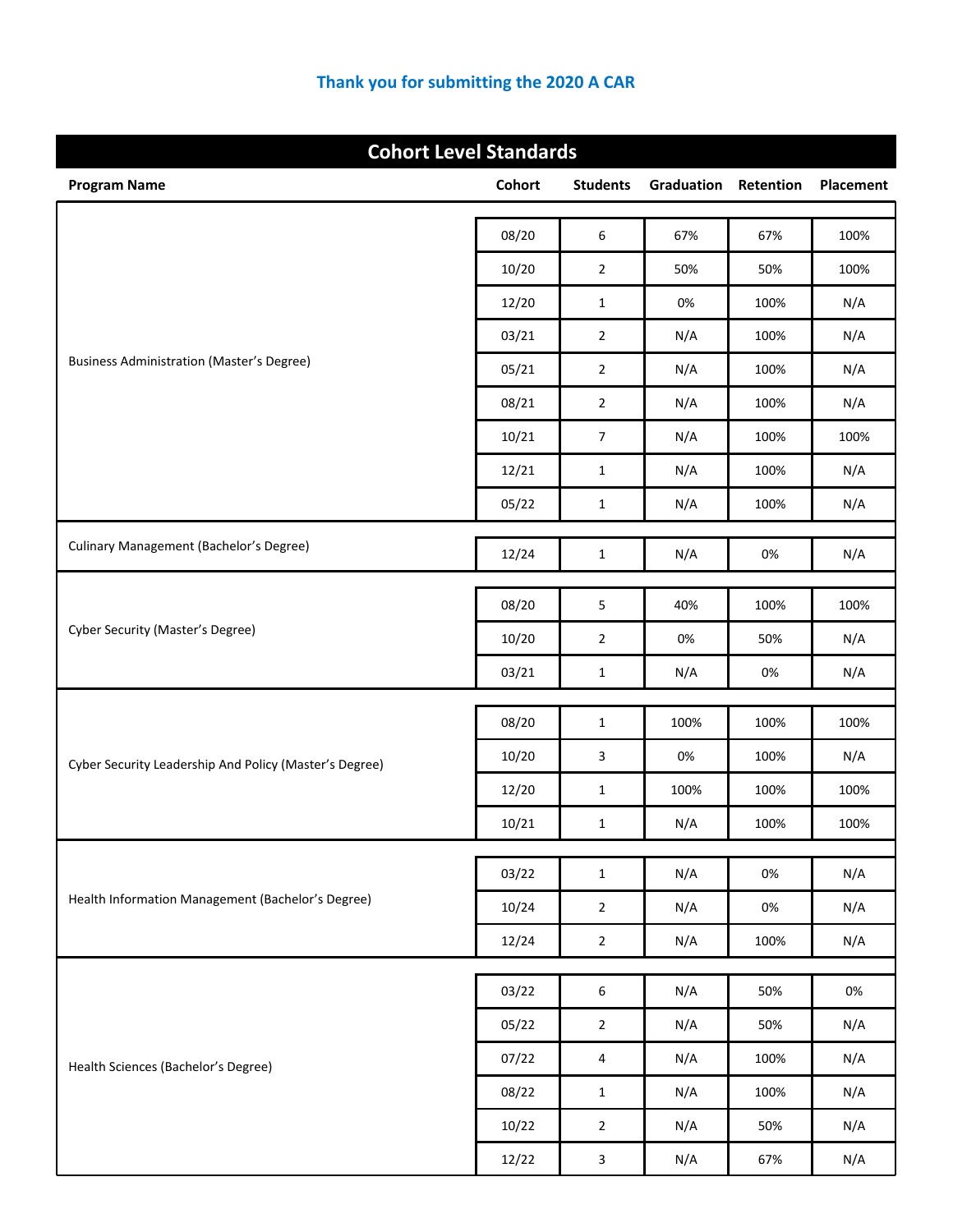| <b>Cohort Level Standards</b>                          |        |                  |                             |              |           |
|--------------------------------------------------------|--------|------------------|-----------------------------|--------------|-----------|
| <b>Program Name</b>                                    | Cohort | <b>Students</b>  | <b>Graduation Retention</b> |              | Placement |
|                                                        | 08/20  | 6                | 67%                         | 67%          | 100%      |
|                                                        | 10/20  | $\mathbf{2}$     | 50%                         | 50%          | 100%      |
|                                                        | 12/20  | $\mathbf{1}$     | 0%                          | 100%         | N/A       |
|                                                        | 03/21  | $\overline{2}$   | N/A                         | 100%         | N/A       |
| <b>Business Administration (Master's Degree)</b>       | 05/21  | $\overline{2}$   | N/A                         | 100%         | N/A       |
|                                                        | 08/21  | $\overline{2}$   | N/A                         | 100%         | N/A       |
|                                                        | 10/21  | $\overline{7}$   | N/A                         | 100%         | 100%      |
|                                                        | 12/21  | $\mathbf{1}$     | N/A                         | 100%         | N/A       |
|                                                        | 05/22  | $\mathbf{1}$     | N/A                         | 100%         | N/A       |
| Culinary Management (Bachelor's Degree)                |        |                  |                             |              |           |
|                                                        | 12/24  | $\mathbf{1}$     | N/A                         | $0\%$        | N/A       |
|                                                        | 08/20  | 5                | 40%                         | 100%         | 100%      |
| <b>Cyber Security (Master's Degree)</b>                | 10/20  | $\overline{2}$   | 0%                          | 50%          | N/A       |
|                                                        | 03/21  | $\mathbf{1}$     | N/A                         | 0%           | N/A       |
|                                                        |        |                  |                             |              |           |
|                                                        | 08/20  | $\mathbf{1}$     | 100%                        | 100%         | 100%      |
| Cyber Security Leadership And Policy (Master's Degree) | 10/20  | 3                | 0%                          | 100%         | N/A       |
|                                                        | 12/20  | $\mathbf{1}$     | 100%                        | 100%         | 100%      |
|                                                        | 10/21  | $\mathbf 1$      | N/A                         | 100%         | 100%      |
|                                                        | 03/22  | $\mathbf 1$      | N/A                         | 0%           | N/A       |
| Health Information Management (Bachelor's Degree)      | 10/24  | $\overline{2}$   | N/A                         | $0\%$        | N/A       |
|                                                        | 12/24  | $\overline{2}$   | N/A                         | 100%         | N/A       |
|                                                        |        |                  |                             |              | $0\%$     |
|                                                        | 03/22  | $\boldsymbol{6}$ | N/A                         | 50%          |           |
| Health Sciences (Bachelor's Degree)                    | 05/22  | $\overline{2}$   | N/A                         | 50%          | N/A       |
|                                                        | 07/22  | 4                | N/A                         | 100%<br>100% | N/A       |
|                                                        | 08/22  | $\mathbf 1$      | N/A                         |              | N/A       |
|                                                        | 10/22  | $\overline{2}$   | N/A                         | 50%          | N/A       |
|                                                        | 12/22  | $\mathbf{3}$     | N/A                         | 67%          | N/A       |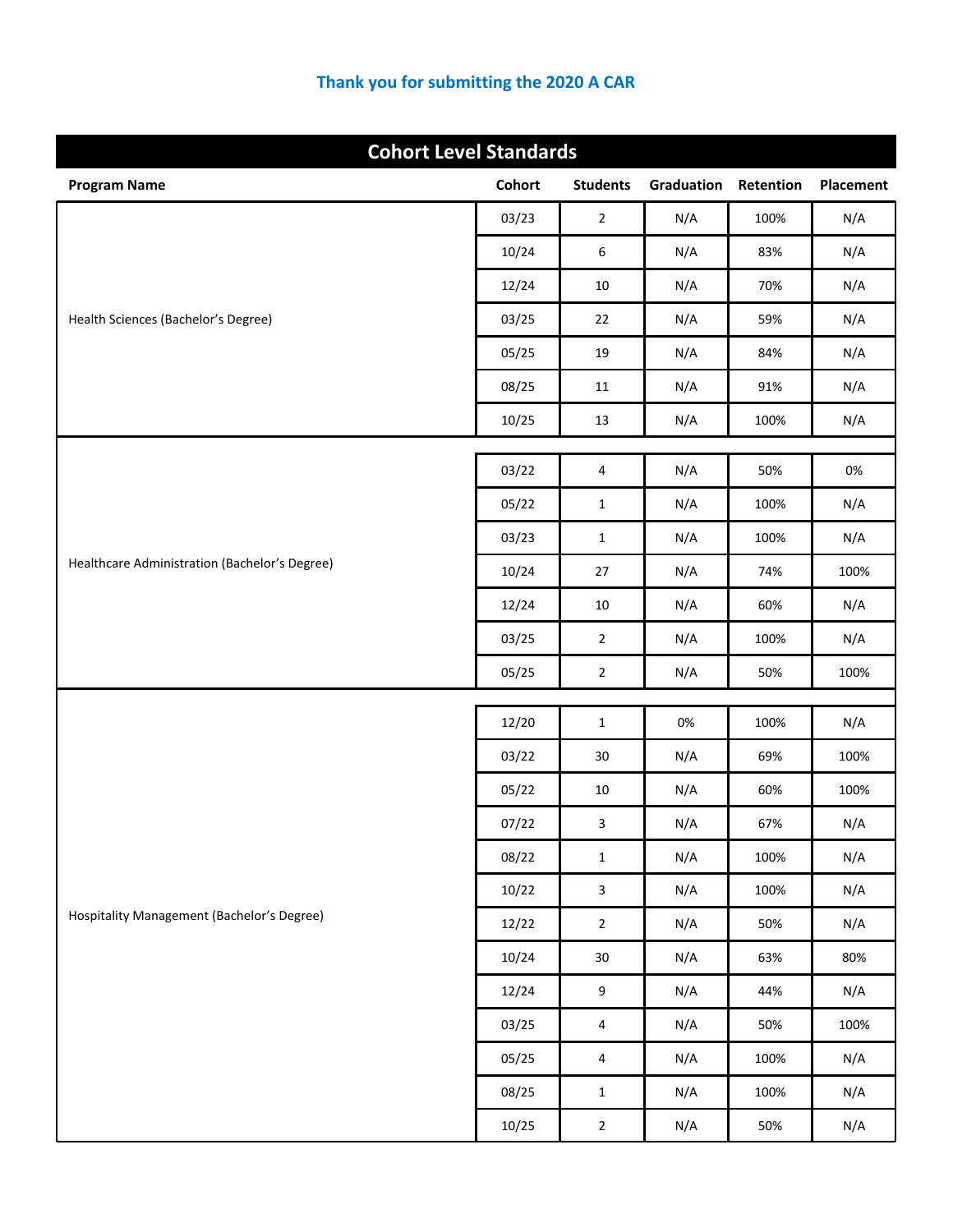| <b>Cohort Level Standards</b>                 |               |                         |            |           |           |
|-----------------------------------------------|---------------|-------------------------|------------|-----------|-----------|
| <b>Program Name</b>                           | <b>Cohort</b> | <b>Students</b>         | Graduation | Retention | Placement |
| Health Sciences (Bachelor's Degree)           | 03/23         | $\overline{2}$          | N/A        | 100%      | N/A       |
|                                               | 10/24         | 6                       | N/A        | 83%       | N/A       |
|                                               | 12/24         | $10\,$                  | N/A        | 70%       | N/A       |
|                                               | 03/25         | 22                      | N/A        | 59%       | N/A       |
|                                               | 05/25         | 19                      | N/A        | 84%       | N/A       |
|                                               | 08/25         | 11                      | N/A        | 91%       | N/A       |
|                                               | 10/25         | 13                      | N/A        | 100%      | N/A       |
|                                               | 03/22         | 4                       | N/A        | 50%       | 0%        |
|                                               | 05/22         | $\mathbf 1$             | N/A        | 100%      | N/A       |
|                                               | 03/23         | $\mathbf{1}$            | N/A        | 100%      | N/A       |
| Healthcare Administration (Bachelor's Degree) | 10/24         | 27                      | N/A        | 74%       | 100%      |
|                                               | 12/24         | $10\,$                  | N/A        | 60%       | N/A       |
|                                               | 03/25         | $\overline{2}$          | N/A        | 100%      | N/A       |
|                                               | 05/25         | $\overline{2}$          | N/A        | 50%       | 100%      |
|                                               |               |                         |            |           |           |
|                                               | 12/20         | $\mathbf{1}$            | 0%         | 100%      | N/A       |
|                                               | 03/22         | 30                      | N/A        | 69%       | 100%      |
|                                               | 05/22         | $10\,$                  | N/A        | 60%       | 100%      |
|                                               | 07/22         | 3                       | N/A        | 67%       | N/A       |
|                                               | 08/22         | $\mathbf 1$             | N/A        | 100%      | N/A       |
|                                               | 10/22         | $\overline{\mathbf{3}}$ | N/A        | 100%      | N/A       |
| Hospitality Management (Bachelor's Degree)    | 12/22         | $\overline{2}$          | N/A        | 50%       | N/A       |
|                                               | 10/24         | $30\,$                  | N/A        | 63%       | 80%       |
|                                               | 12/24         | 9                       | N/A        | 44%       | N/A       |
|                                               | 03/25         | 4                       | N/A        | 50%       | 100%      |
|                                               | 05/25         | 4                       | N/A        | 100%      | N/A       |
|                                               | 08/25         | $\mathbf 1$             | N/A        | 100%      | N/A       |
|                                               | 10/25         | $\overline{\mathbf{c}}$ | N/A        | 50%       | N/A       |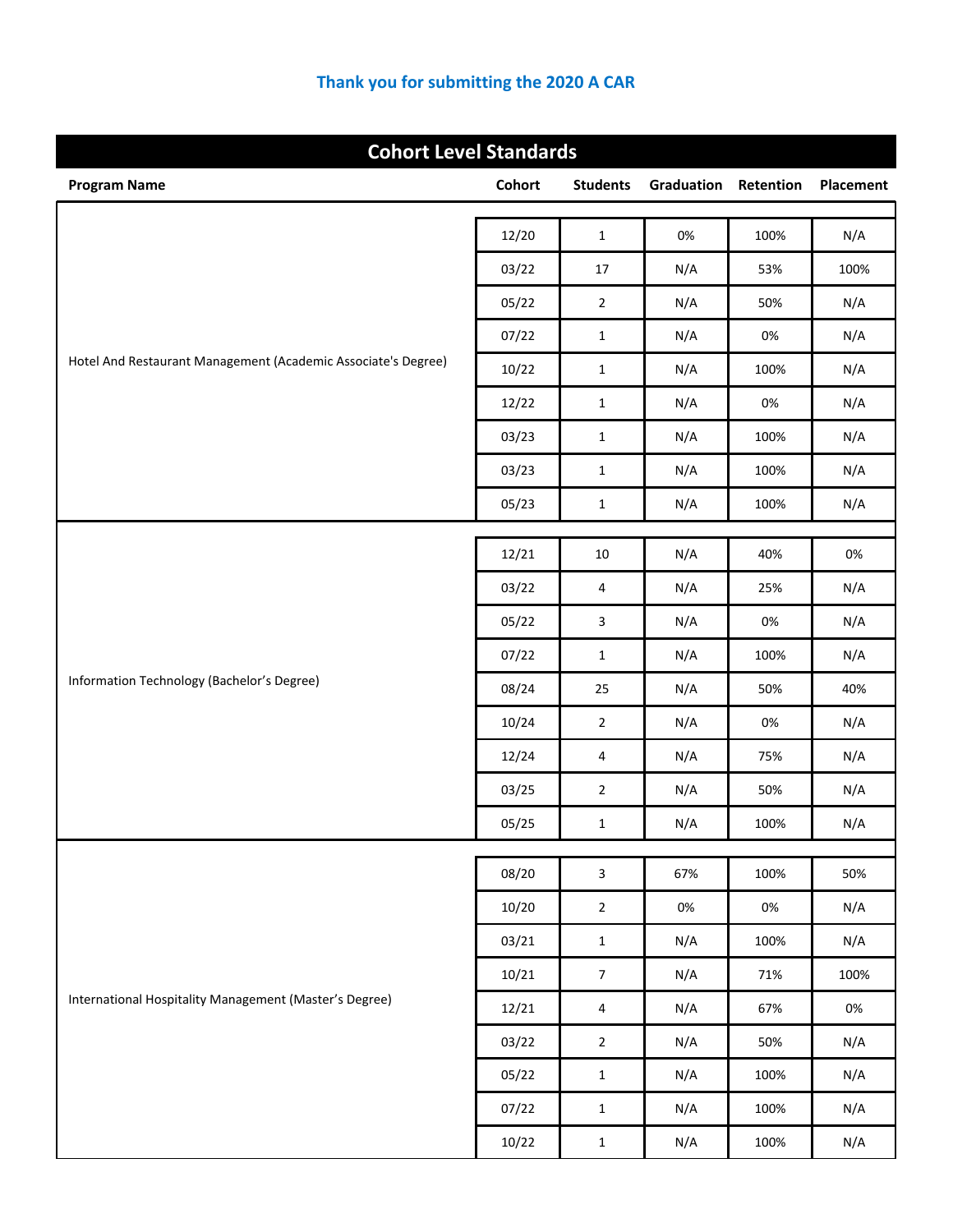| <b>Cohort Level Standards</b>                                 |        |                         |            |           |           |
|---------------------------------------------------------------|--------|-------------------------|------------|-----------|-----------|
| <b>Program Name</b>                                           | Cohort | <b>Students</b>         | Graduation | Retention | Placement |
| Hotel And Restaurant Management (Academic Associate's Degree) | 12/20  | $\mathbf{1}$            | 0%         | 100%      | N/A       |
|                                                               | 03/22  | 17                      | N/A        | 53%       | 100%      |
|                                                               |        |                         | N/A        | 50%       | N/A       |
|                                                               | 05/22  | $\overline{2}$          |            |           |           |
|                                                               | 07/22  | $\mathbf{1}$            | N/A        | 0%        | N/A       |
|                                                               | 10/22  | $\mathbf{1}$            | N/A        | 100%      | N/A       |
|                                                               | 12/22  | $\mathbf{1}$            | N/A        | 0%        | N/A       |
|                                                               | 03/23  | $\mathbf{1}$            | N/A        | 100%      | N/A       |
|                                                               | 03/23  | $\mathbf{1}$            | N/A        | 100%      | N/A       |
|                                                               | 05/23  | $\mathbf{1}$            | N/A        | 100%      | N/A       |
|                                                               | 12/21  | 10                      | N/A        | 40%       | 0%        |
|                                                               | 03/22  | 4                       | N/A        | 25%       | N/A       |
|                                                               | 05/22  | 3                       | N/A        | 0%        | N/A       |
|                                                               | 07/22  | $\mathbf{1}$            | N/A        | 100%      | N/A       |
| Information Technology (Bachelor's Degree)                    | 08/24  | 25                      | N/A        | 50%       | 40%       |
|                                                               | 10/24  | $\overline{2}$          | N/A        | $0\%$     | N/A       |
|                                                               | 12/24  | 4                       | N/A        | 75%       | N/A       |
|                                                               | 03/25  | $\mathbf{2}$            | N/A        | 50%       | N/A       |
|                                                               | 05/25  | $\mathbf 1$             | N/A        | 100%      | N/A       |
|                                                               | 08/20  |                         |            | 100%      |           |
|                                                               |        | $\overline{\mathbf{3}}$ | 67%        |           | 50%       |
|                                                               | 10/20  | $\overline{2}$          | $0\%$      | $0\%$     | N/A       |
|                                                               | 03/21  | $\mathbf 1$             | N/A        | 100%      | N/A       |
| International Hospitality Management (Master's Degree)        | 10/21  | $\overline{7}$          | N/A        | 71%       | 100%      |
|                                                               | 12/21  | 4                       | N/A        | 67%       | $0\%$     |
|                                                               | 03/22  | $\overline{2}$          | N/A        | 50%       | N/A       |
|                                                               | 05/22  | $\mathbf 1$             | N/A        | 100%      | N/A       |
|                                                               | 07/22  | $\mathbf 1$             | N/A        | 100%      | N/A       |
|                                                               | 10/22  | $\mathbf 1$             | N/A        | 100%      | N/A       |